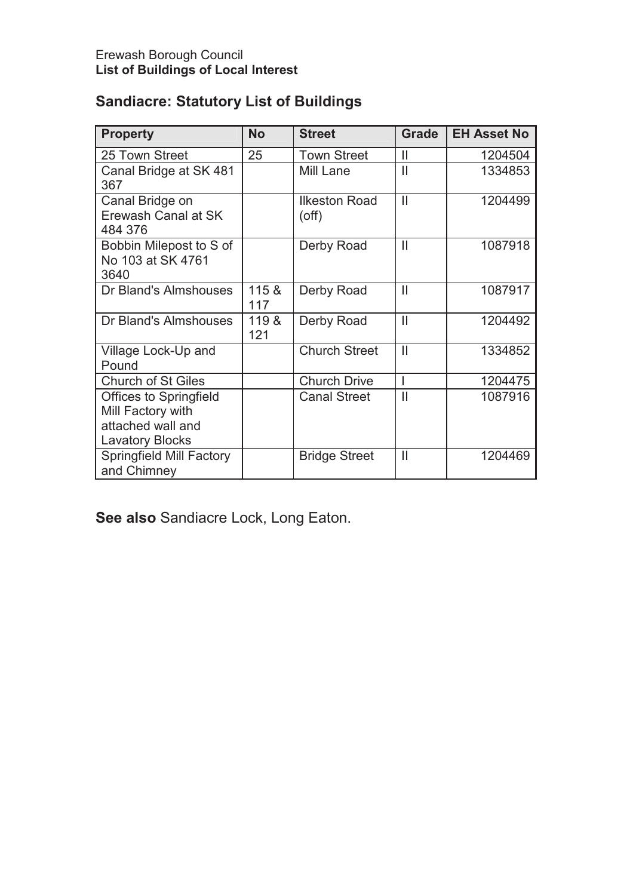# **Sandiacre: Statutory List of Buildings**

| <b>Property</b>                                                                                   | <b>No</b>    | <b>Street</b>                | <b>Grade</b>  | <b>EH Asset No</b> |
|---------------------------------------------------------------------------------------------------|--------------|------------------------------|---------------|--------------------|
| 25 Town Street                                                                                    | 25           | <b>Town Street</b>           | Ш             | 1204504            |
| Canal Bridge at SK 481<br>367                                                                     |              | Mill Lane                    | $\mathbf{I}$  | 1334853            |
| Canal Bridge on<br>Erewash Canal at SK<br>484 376                                                 |              | Ilkeston Road<br>$($ off $)$ | $\mathsf{II}$ | 1204499            |
| Bobbin Milepost to S of<br>No 103 at SK 4761<br>3640                                              |              | Derby Road                   | $\mathbf{  }$ | 1087918            |
| Dr Bland's Almshouses                                                                             | 115 &<br>117 | Derby Road                   | $\mathbf{II}$ | 1087917            |
| Dr Bland's Almshouses                                                                             | 119 &<br>121 | Derby Road                   | $\mathsf{I}$  | 1204492            |
| Village Lock-Up and<br>Pound                                                                      |              | <b>Church Street</b>         | $\mathbf{II}$ | 1334852            |
| <b>Church of St Giles</b>                                                                         |              | <b>Church Drive</b>          | I             | 1204475            |
| <b>Offices to Springfield</b><br>Mill Factory with<br>attached wall and<br><b>Lavatory Blocks</b> |              | <b>Canal Street</b>          | Ш             | 1087916            |
| <b>Springfield Mill Factory</b><br>and Chimney                                                    |              | <b>Bridge Street</b>         | Ш             | 1204469            |

**See also** Sandiacre Lock, Long Eaton.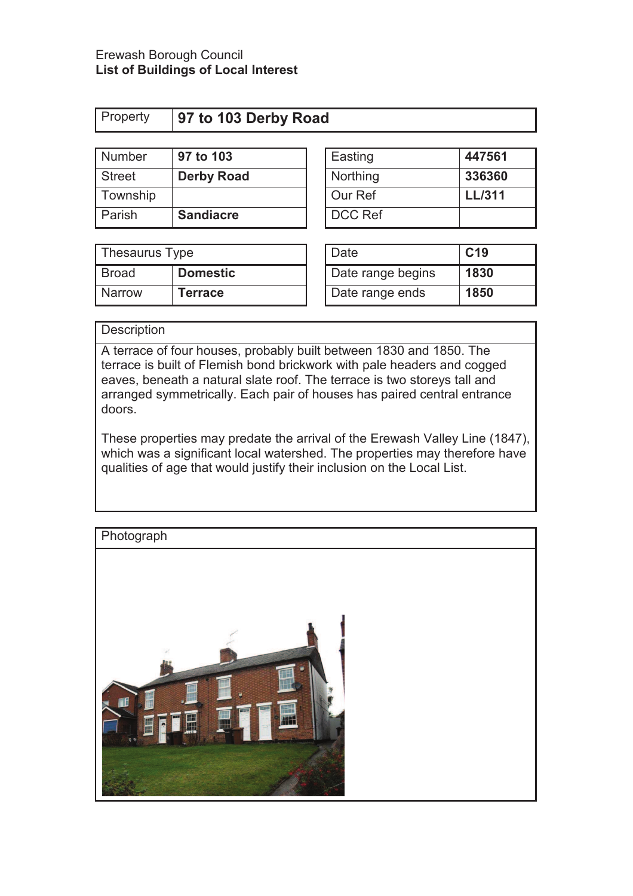| Property |  | 97 to 103 Derby Road |  |
|----------|--|----------------------|--|
|          |  |                      |  |

| Number        | 97 to 103         | Easting        | 447561        |
|---------------|-------------------|----------------|---------------|
| <b>Street</b> | <b>Derby Road</b> | Northing       | 336360        |
| Township      |                   | Our Ref        | <b>LL/311</b> |
| Parish        | <b>Sandiacre</b>  | <b>DCC Ref</b> |               |

| Easting        | 447561        |
|----------------|---------------|
| Northing       | 336360        |
| Our Ref        | <b>LL/311</b> |
| <b>DCC Ref</b> |               |

| Thesaurus Type |                 | Date              | C <sub>19</sub> |
|----------------|-----------------|-------------------|-----------------|
| Broad          | <b>Domestic</b> | Date range begins | 1830            |
| <b>Narrow</b>  | Terrace         | Date range ends   | 1850            |

| Date              | C <sub>19</sub> |
|-------------------|-----------------|
| Date range begins | 1830            |
| Date range ends   | 1850            |

## **Description**

A terrace of four houses, probably built between 1830 and 1850. The terrace is built of Flemish bond brickwork with pale headers and cogged eaves, beneath a natural slate roof. The terrace is two storeys tall and arranged symmetrically. Each pair of houses has paired central entrance doors.

These properties may predate the arrival of the Erewash Valley Line (1847), which was a significant local watershed. The properties may therefore have qualities of age that would justify their inclusion on the Local List.

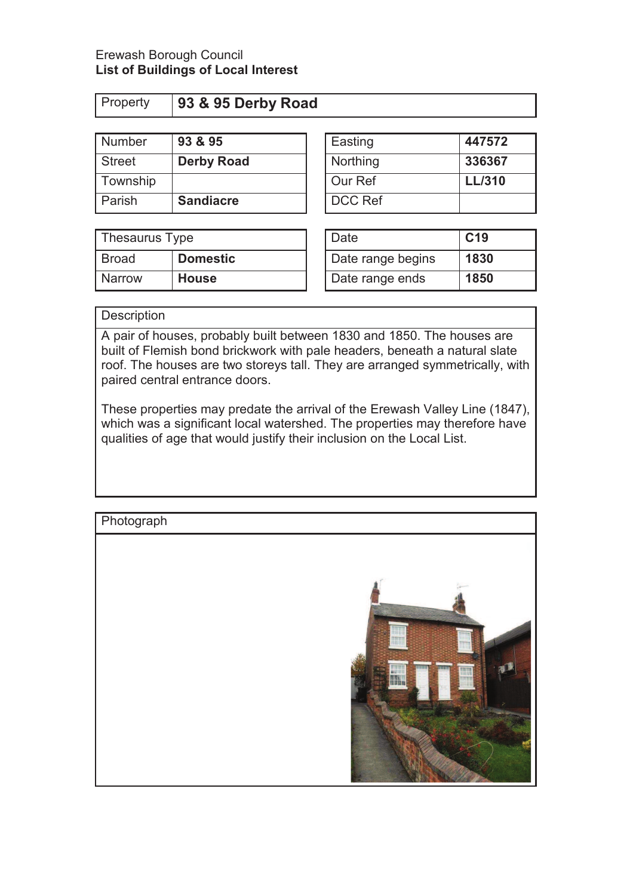| .        | -----              |  |  |
|----------|--------------------|--|--|
|          |                    |  |  |
| Property | 93 & 95 Derby Road |  |  |

| <b>Number</b> | YJ & YD           | <b>Easting</b> | 44/5/2        |
|---------------|-------------------|----------------|---------------|
| <b>Street</b> | <b>Derby Road</b> | Northing       | 336367        |
| Township      |                   | Our Ref        | <b>LL/310</b> |
| Parish        | <b>Sandiacre</b>  | DCC Ref        |               |

| Thesaurus Type |                 | Date              | C <sub>19</sub> |
|----------------|-----------------|-------------------|-----------------|
| <b>Broad</b>   | <b>Domestic</b> | Date range begins | 1830            |
| <b>Narrow</b>  | <b>House</b>    | Date range ends   | 1850            |

| <b>Number</b> | 93 & 95           | Easting        | 447572        |
|---------------|-------------------|----------------|---------------|
| <b>Street</b> | <b>Derby Road</b> | Northing       | 336367        |
| Township      |                   | Our Ref        | <b>LL/310</b> |
| Parish        | <b>Sandiacre</b>  | <b>DCC Ref</b> |               |

| Date              | C <sub>19</sub> |
|-------------------|-----------------|
| Date range begins | 1830            |
| Date range ends   | 1850            |

# **Description**

A pair of houses, probably built between 1830 and 1850. The houses are built of Flemish bond brickwork with pale headers, beneath a natural slate roof. The houses are two storeys tall. They are arranged symmetrically, with paired central entrance doors.

These properties may predate the arrival of the Erewash Valley Line (1847), which was a significant local watershed. The properties may therefore have qualities of age that would justify their inclusion on the Local List.

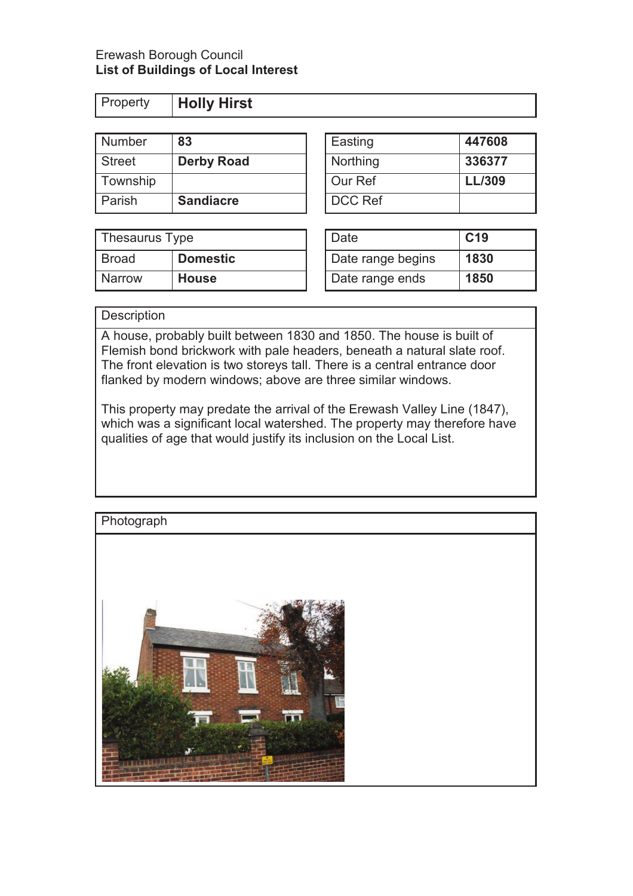**Property Holly Hirst** 

| Number        | 83                | Easting        | 447608        |
|---------------|-------------------|----------------|---------------|
| <b>Street</b> | <b>Derby Road</b> | Northing       | 336377        |
| Township      |                   | Our Ref        | <b>LL/309</b> |
| Parish        | <b>Sandiacre</b>  | <b>DCC Ref</b> |               |

| <b>Township</b> |                  | I Our Ref                | L/309           |
|-----------------|------------------|--------------------------|-----------------|
| Parish          | <b>Sandiacre</b> | <b>DCC Ref</b>           |                 |
|                 |                  |                          |                 |
| Thesaurus Type  |                  | Date                     | C <sub>19</sub> |
| -               | $\sim$ 11        | $\overline{\phantom{a}}$ |                 |

| Thesaurus Type |                 | Date              | C <sub>19</sub> |
|----------------|-----------------|-------------------|-----------------|
| Broad          | <b>Domestic</b> | Date range begins | 1830            |
| <b>Narrow</b>  | <b>House</b>    | Date range ends   | 1850            |

| Date              | C <sub>19</sub> |
|-------------------|-----------------|
| Date range begins | 1830            |
| Date range ends   | 1850            |

# **Description**

A house, probably built between 1830 and 1850. The house is built of Flemish bond brickwork with pale headers, beneath a natural slate roof. The front elevation is two storeys tall. There is a central entrance door flanked by modern windows; above are three similar windows.

This property may predate the arrival of the Erewash Valley Line (1847), which was a significant local watershed. The property may therefore have qualities of age that would justify its inclusion on the Local List.